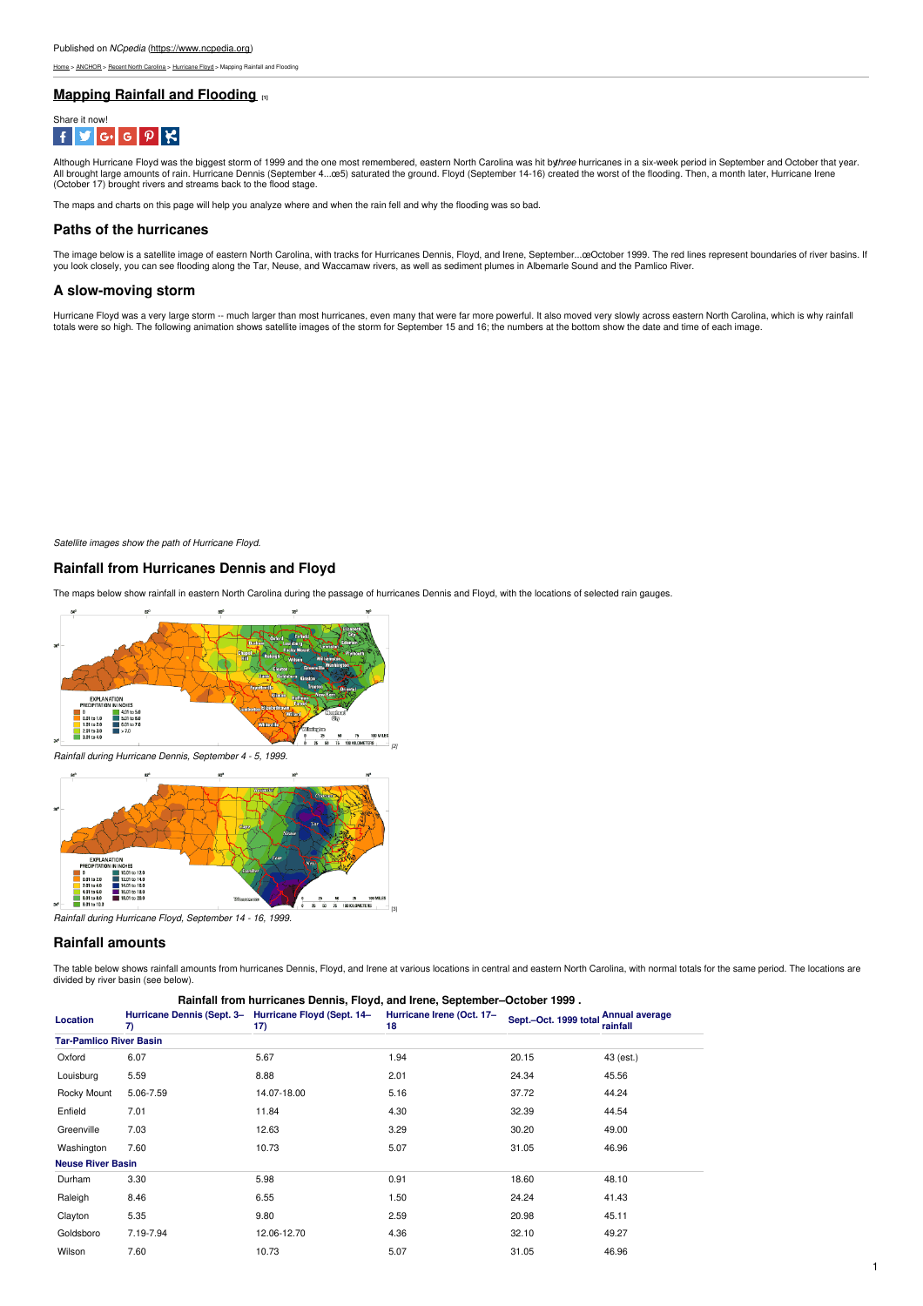[Home](https://www.ncpedia.org/) > [ANCHOR](https://www.ncpedia.org/anchor/anchor) > Recent North [Carolina](https://www.ncpedia.org/anchor/recent-north-carolina) > [Hurricane](https://www.ncpedia.org/anchor/hurricane-floyd) Floyd > Mapping Rainfall and Flooding

## **Mapping Rainfall and [Flooding](https://www.ncpedia.org/anchor/mapping-rainfall-and) [1]**



Although Hurricane Floyd was the biggest storm of 1999 and the one most remembered, eastern North Carolina was hit by*three* hurricanes in a six-week period in September and October that year.<br>All brought large amounts of (October 17) brought rivers and streams back to the flood stage.

The maps and charts on this page will help you analyze where and when the rain fell and why the flooding was so bad.

#### **Paths of the hurricanes**

The image below is a satellite image of eastern North Carolina, with tracks for Hurricanes Dennis, Floyd, and Irene, September…œOctober 1999. The red lines represent boundaries of river basins. If<br>you look closely, you can

#### **A slow-moving storm**

Hurricane Floyd was a very large storm -- much larger than most hurricanes, even many that were far more powerful. It also moved very slowly across eastern North Carolina, which is why rainfall<br>totals were so high. The fol

*Satellite images show the path of Hurricane Floyd.*

## **Rainfall from Hurricanes Dennis and Floyd**

The maps below show rainfall in eastern North Carolina during the passage of hurricanes Dennis and Floyd, with the locations of selected rain gauges.





## **Rainfall amounts**

The table below shows rainfall amounts from hurricanes Dennis, Floyd, and Irene at various locations in central and eastern North Carolina, with normal totals for the same period. The locations are divided by river basin (see below).

| Location                       | 7)        | Hurricane Dennis (Sept. 3- Hurricane Floyd (Sept. 14-<br>17) | Hurricane Irene (Oct. 17-<br>18 | Sept.-Oct. 1999 total | <b>Annual average</b><br>rainfall |  |  |  |  |  |
|--------------------------------|-----------|--------------------------------------------------------------|---------------------------------|-----------------------|-----------------------------------|--|--|--|--|--|
| <b>Tar-Pamlico River Basin</b> |           |                                                              |                                 |                       |                                   |  |  |  |  |  |
| Oxford                         | 6.07      | 5.67                                                         | 1.94                            | 20.15                 | 43 (est.)                         |  |  |  |  |  |
| Louisburg                      | 5.59      | 8.88                                                         | 2.01                            | 24.34                 | 45.56                             |  |  |  |  |  |
| Rocky Mount                    | 5.06-7.59 | 14.07-18.00                                                  | 5.16                            | 37.72                 | 44.24                             |  |  |  |  |  |
| Enfield                        | 7.01      | 11.84                                                        | 4.30                            | 32.39                 | 44.54                             |  |  |  |  |  |
| Greenville                     | 7.03      | 12.63                                                        | 3.29                            | 30.20                 | 49.00                             |  |  |  |  |  |
| Washington                     | 7.60      | 10.73                                                        | 5.07                            | 31.05                 | 46.96                             |  |  |  |  |  |
| <b>Neuse River Basin</b>       |           |                                                              |                                 |                       |                                   |  |  |  |  |  |
| Durham                         | 3.30      | 5.98                                                         | 0.91                            | 18.60                 | 48.10                             |  |  |  |  |  |
| Raleigh                        | 8.46      | 6.55                                                         | 1.50                            | 24.24                 | 41.43                             |  |  |  |  |  |
| Clayton                        | 5.35      | 9.80                                                         | 2.59                            | 20.98                 | 45.11                             |  |  |  |  |  |
| Goldsboro                      | 7.19-7.94 | 12.06-12.70                                                  | 4.36                            | 32.10                 | 49.27                             |  |  |  |  |  |
| Wilson                         | 7.60      | 10.73                                                        | 5.07                            | 31.05                 | 46.96                             |  |  |  |  |  |
|                                |           |                                                              |                                 |                       |                                   |  |  |  |  |  |

#### **Rainfall from hurricanes Dennis, Floyd, and Irene, September–October 1999 .**

*[2]*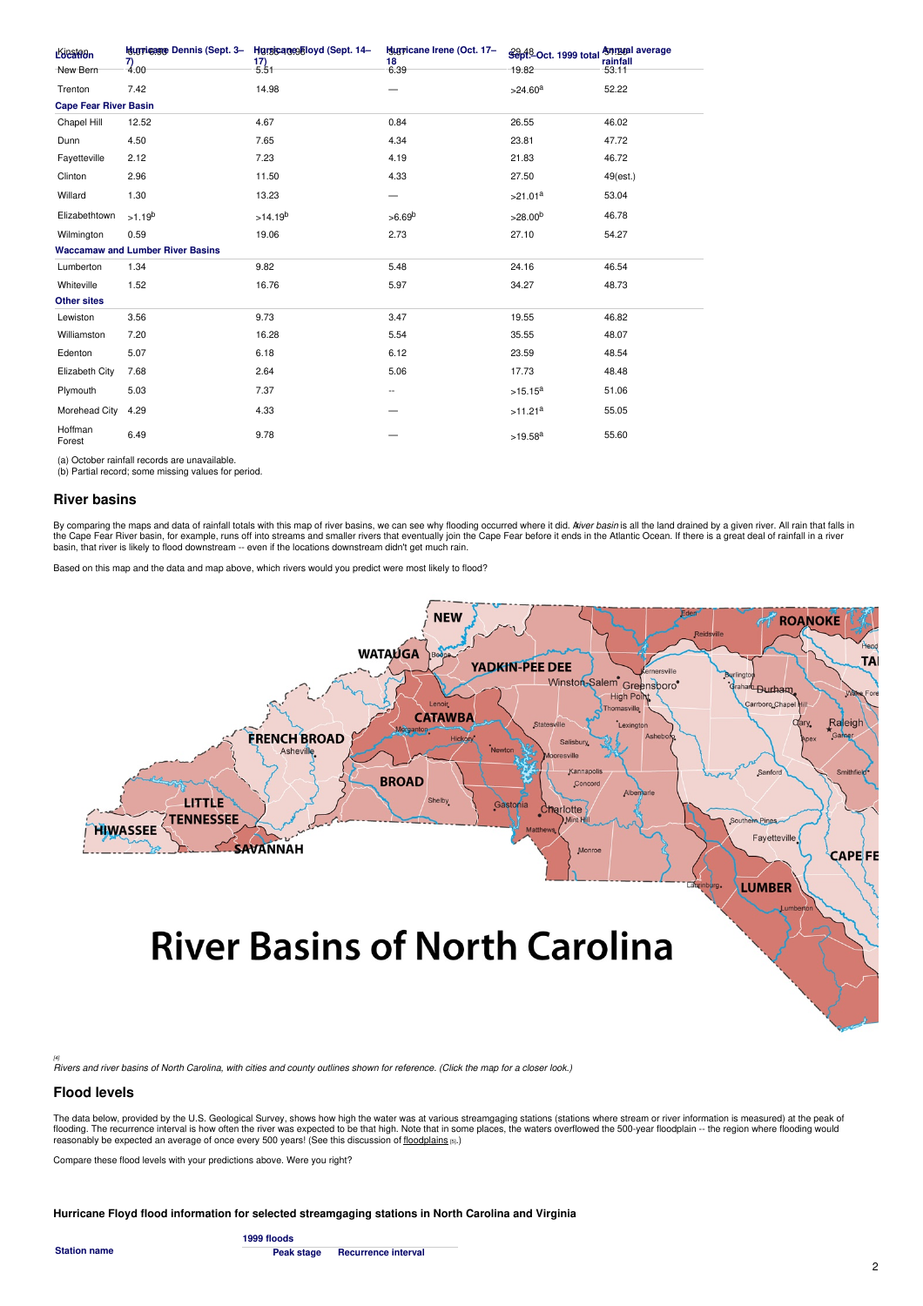| Location                     |                                         | <b>Hauppigage Dennis (Sept. 3- Harsicanes Floyd (Sept. 14-</b> | <b>Hurricane Irene (Oct. 17-</b> | Sept <sup>8</sup> -Oct. 1999 total | <b>Annual average</b><br>rainfall |
|------------------------------|-----------------------------------------|----------------------------------------------------------------|----------------------------------|------------------------------------|-----------------------------------|
| New Bern                     | $\frac{7}{4.00}$                        | $\frac{17}{5.51}$                                              | $18$<br>6.39                     | 19.82                              | 53.11                             |
| Trenton                      | 7.42                                    | 14.98                                                          |                                  | >24.60 <sup>a</sup>                | 52.22                             |
| <b>Cape Fear River Basin</b> |                                         |                                                                |                                  |                                    |                                   |
| Chapel Hill                  | 12.52                                   | 4.67                                                           | 0.84                             | 26.55                              | 46.02                             |
| Dunn                         | 4.50                                    | 7.65                                                           | 4.34                             | 23.81                              | 47.72                             |
| Fayetteville                 | 2.12                                    | 7.23                                                           | 4.19                             | 21.83                              | 46.72                             |
| Clinton                      | 2.96                                    | 11.50                                                          | 4.33                             | 27.50                              | 49(est.)                          |
| Willard                      | 1.30                                    | 13.23                                                          | $\overline{\phantom{0}}$         | >21.01 <sup>a</sup>                | 53.04                             |
| Elizabethtown                | $>1.19^{b}$                             | >14.19 <sup>b</sup>                                            | >6.69 <sup>b</sup>               | >28.00 <sup>b</sup>                | 46.78                             |
| Wilmington                   | 0.59                                    | 19.06                                                          | 2.73                             | 27.10                              | 54.27                             |
|                              | <b>Waccamaw and Lumber River Basins</b> |                                                                |                                  |                                    |                                   |
| Lumberton                    | 1.34                                    | 9.82                                                           | 5.48                             | 24.16                              | 46.54                             |
| Whiteville                   | 1.52                                    | 16.76                                                          | 5.97                             | 34.27                              | 48.73                             |
| <b>Other sites</b>           |                                         |                                                                |                                  |                                    |                                   |
| Lewiston                     | 3.56                                    | 9.73                                                           | 3.47                             | 19.55                              | 46.82                             |
| Williamston                  | 7.20                                    | 16.28                                                          | 5.54                             | 35.55                              | 48.07                             |
| Edenton                      | 5.07                                    | 6.18                                                           | 6.12                             | 23.59                              | 48.54                             |
| Elizabeth City               | 7.68                                    | 2.64                                                           | 5.06                             | 17.73                              | 48.48                             |
| Plymouth                     | 5.03                                    | 7.37                                                           | ۰.                               | $>15.15^a$                         | 51.06                             |
| Morehead City                | 4.29                                    | 4.33                                                           |                                  | >11.21 <sup>a</sup>                | 55.05                             |
| Hoffman<br>Forest            | 6.49                                    | 9.78                                                           |                                  | $>19.58^{\text{a}}$                | 55.60                             |

(a) October rainfall records are unavailable. (b) Partial record; some missing values for period.

#### **River basins**

By comparing the maps and data of rainfall totals with this map of river basins, we can see why flooding occurred where it did. *Aiver basin* is all the land drained by a given river. All rain that falls in<br>the Cape Fear R basin, that river is likely to flood downstream -- even if the locations downstream didn't get much rain.

Based on this map and the data and map above, which rivers would you predict were most likely to flood?



⊮<br>Rivers and river basins of North Carolina, with cities and county outlines shown for reference. (Click the map for a closer look.)

## **Flood levels**

The data below, provided by the U.S. Geological Survey, shows how high the water was at various streamgaging stations (stations where stream or river information is measured) at the peak of flooding. The recurrence interval is how often the river was expected to be that high. Note that in some places, the waters overflowed the 500-year floodplain -- the region where flooding would reasonably be expected an average of once every 500 years! (See this discussion of [floodplains](https://www.ncpedia.org/anchor/preventing-future-floods) [5].)

Compare these flood levels with your predictions above. Were you right?

**Hurricane Floyd flood information for selected streamgaging stations in North Carolina and Virginia**

**Station name**

**1999 floods Peak stage Recurrence interval**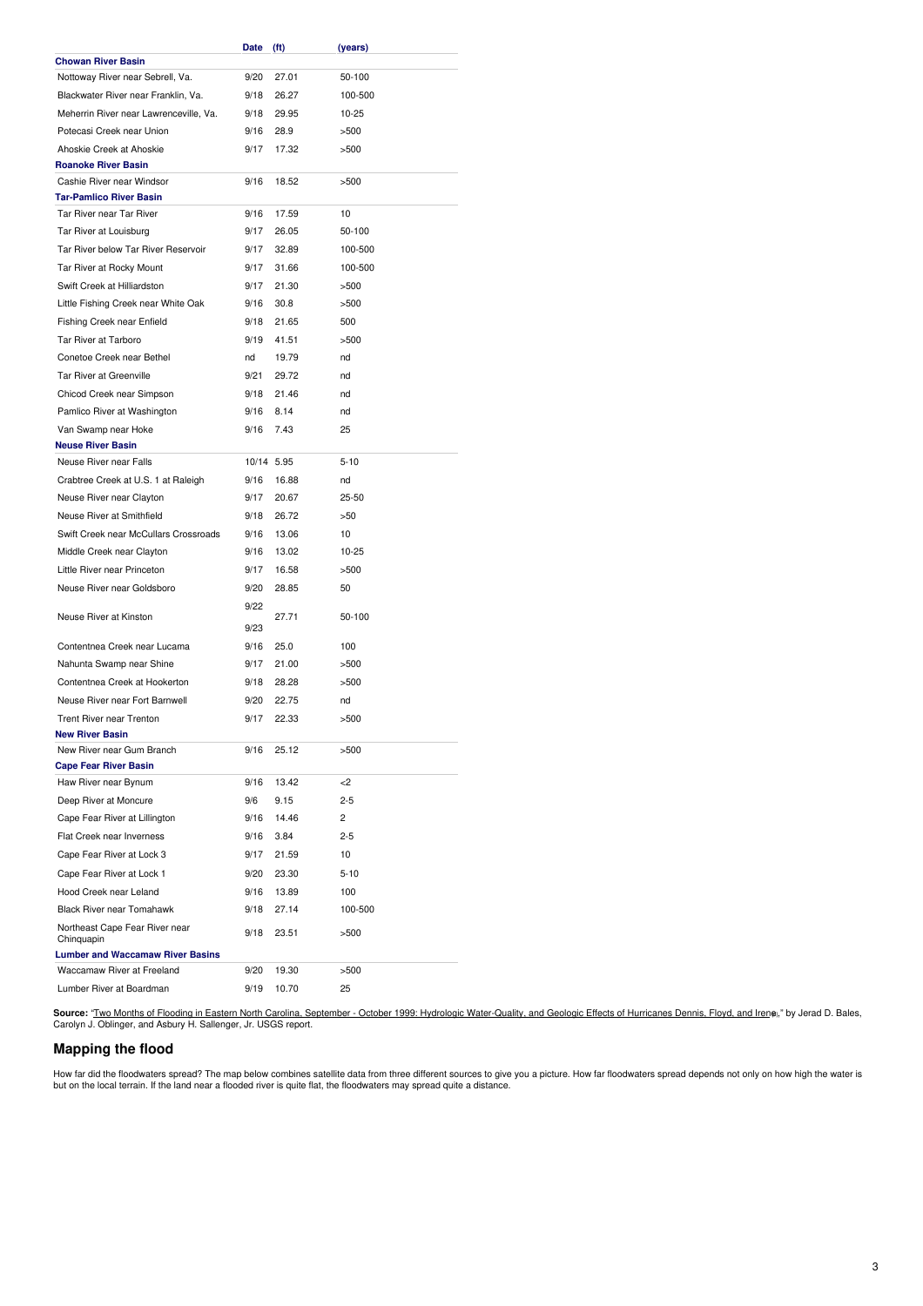|                                                            | Date       | (ft)  | (years)  |
|------------------------------------------------------------|------------|-------|----------|
| <b>Chowan River Basin</b>                                  |            |       |          |
| Nottoway River near Sebrell, Va.                           | 9/20       | 27.01 | 50-100   |
| Blackwater River near Franklin, Va.                        | 9/18       | 26.27 | 100-500  |
| Meherrin River near Lawrenceville, Va.                     | 9/18       | 29.95 | 10-25    |
| Potecasi Creek near Union                                  | 9/16       | 28.9  | >500     |
| Ahoskie Creek at Ahoskie                                   | 9/17       | 17.32 | >500     |
| <b>Roanoke River Basin</b>                                 |            |       |          |
| Cashie River near Windsor                                  | 9/16       | 18.52 | >500     |
| <b>Tar-Pamlico River Basin</b><br>Tar River near Tar River |            |       | 10       |
|                                                            | 9/16       | 17.59 |          |
| Tar River at Louisburg                                     | 9/17       | 26.05 | 50-100   |
| Tar River below Tar River Reservoir                        | 9/17       | 32.89 | 100-500  |
| Tar River at Rocky Mount                                   | 9/17       | 31.66 | 100-500  |
| Swift Creek at Hilliardston                                | 9/17       | 21.30 | >500     |
| Little Fishing Creek near White Oak                        | 9/16       | 30.8  | >500     |
| Fishing Creek near Enfield                                 | 9/18       | 21.65 | 500      |
| Tar River at Tarboro                                       | 9/19       | 41.51 | >500     |
| Conetoe Creek near Bethel                                  | nd         | 19.79 | nd       |
| Tar River at Greenville                                    | 9/21       | 29.72 | nd       |
| Chicod Creek near Simpson                                  | 9/18       | 21.46 | nd       |
| Pamlico River at Washington                                | 9/16       | 8.14  | nd       |
| Van Swamp near Hoke                                        | 9/16       | 7.43  | 25       |
| <b>Neuse River Basin</b>                                   |            |       |          |
| Neuse River near Falls                                     | 10/14 5.95 |       | $5 - 10$ |
| Crabtree Creek at U.S. 1 at Raleigh                        | 9/16       | 16.88 | nd       |
| Neuse River near Clayton                                   | 9/17       | 20.67 | 25-50    |
| Neuse River at Smithfield                                  | 9/18       | 26.72 | >50      |
| Swift Creek near McCullars Crossroads                      | 9/16       | 13.06 | 10       |
| Middle Creek near Clayton                                  | 9/16       | 13.02 | 10-25    |
| Little River near Princeton                                | 9/17       | 16.58 | >500     |
| Neuse River near Goldsboro                                 | 9/20       | 28.85 | 50       |
|                                                            | 9/22       |       |          |
| Neuse River at Kinston                                     | 9/23       | 27.71 | 50-100   |
| Contentnea Creek near Lucama                               |            | 25.0  |          |
|                                                            | 9/16       |       | 100      |
| Nahunta Swamp near Shine                                   | 9/17       | 21.00 | >500     |
| Contentnea Creek at Hookerton                              | 9/18       | 28.28 | >500     |
| Neuse River near Fort Barnwell                             | 9/20       | 22.75 | nd       |
| <b>Trent River near Trenton</b>                            | 9/17       | 22.33 | >500     |
| <b>New River Basin</b>                                     |            |       |          |
| New River near Gum Branch<br><b>Cape Fear River Basin</b>  | 9/16       | 25.12 | >500     |
| Haw River near Bynum                                       | 9/16       | 13.42 | -2       |
| Deep River at Moncure                                      | 9/6        | 9.15  | 2-5      |
| Cape Fear River at Lillington                              | 9/16       | 14.46 | 2        |
| Flat Creek near Inverness                                  |            |       | $2 - 5$  |
|                                                            | 9/16       | 3.84  |          |
| Cape Fear River at Lock 3                                  | 9/17       | 21.59 | 10       |
| Cape Fear River at Lock 1                                  | 9/20       | 23.30 | $5 - 10$ |
| Hood Creek near Leland                                     | 9/16       | 13.89 | 100      |
| <b>Black River near Tomahawk</b>                           | 9/18       | 27.14 | 100-500  |
| Northeast Cape Fear River near                             | 9/18       | 23.51 | >500     |
| Chinquapin<br><b>Lumber and Waccamaw River Basins</b>      |            |       |          |
| Waccamaw River at Freeland                                 | 9/20       | 19.30 | >500     |
| Lumber River at Boardman                                   | 9/19       | 10.70 | 25       |
|                                                            |            |       |          |

Source: "<u>Two Months of Flooding in Eastern North Carolina, September - October 1999: Hydrologic [Water-Quality,](https://pubs.usgs.gov/wri/wri004093/flooding.html) and Geologic Effects of Hurricanes Dennis, Floyd, and Irene)," by Jerad D. Bales,<br>Carolyn J. Oblinger, and Asb</u>

# **Mapping the flood**

How far did the floodwaters spread? The map below combines satellite data from three different sources to give you a picture. How far floodwaters spread depends not only on how high the water is<br>but on the local terrain. I